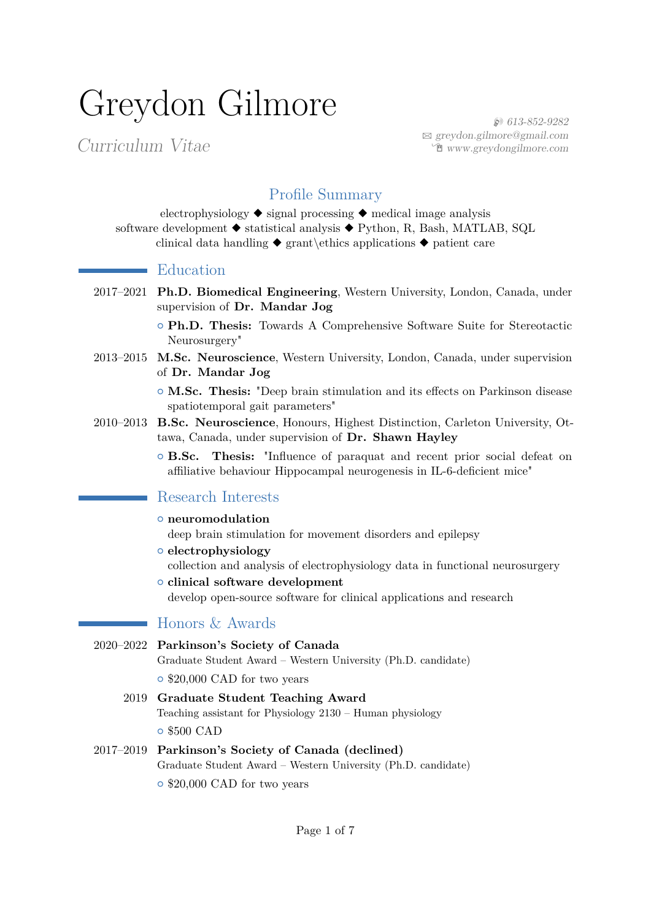# Greydon Gilmore

Curriculum Vitae

 $\sim$ 

 $\mathcal{L}(\mathcal{L})$ 

H 613-852-9282 B [greydon.gilmore@gmail.com](mailto:greydon.gilmore@gmail.com) Í [www.greydongilmore.com](https://www.greydongilmore.com)

# Profile Summary

electrophysiology ◆ signal processing ◆ medical image analysis software development ◆ statistical analysis ◆ Python, R, Bash, MATLAB, SQL clinical data handling  $\bullet$  grant\ethics applications  $\bullet$  patient care

#### $\blacksquare$  Education

2017–2021 **Ph.D. Biomedical Engineering**, Western University, London, Canada, under supervision of **Dr. Mandar Jog**

> { **Ph.D. Thesis:** Towards A Comprehensive Software Suite for Stereotactic Neurosurgery"

- 2013–2015 **M.Sc. Neuroscience**, Western University, London, Canada, under supervision of **Dr. Mandar Jog**
	- { **M.Sc. Thesis:** "Deep brain stimulation and its effects on Parkinson disease spatiotemporal gait parameters"
- 2010–2013 **B.Sc. Neuroscience**, Honours, Highest Distinction, Carleton University, Ottawa, Canada, under supervision of **Dr. Shawn Hayley**
	- { **B.Sc. Thesis:** "Influence of paraquat and recent prior social defeat on affiliative behaviour Hippocampal neurogenesis in IL-6-deficient mice"

#### Research Interests

- { **neuromodulation**
	- deep brain stimulation for movement disorders and epilepsy
- { **electrophysiology** collection and analysis of electrophysiology data in functional neurosurgery { **clinical software development**

develop open-source software for clinical applications and research

### Honors & Awards

| 2020–2022 Parkinson's Society of Canada                       |
|---------------------------------------------------------------|
| Graduate Student Award – Western University (Ph.D. candidate) |
| $\circ$ \$20,000 CAD for two years                            |
| 2019 Graduate Student Teaching Award                          |
|                                                               |

Teaching assistant for Physiology 2130 – Human physiology { \$500 CAD

2017–2019 **Parkinson's Society of Canada (declined)** Graduate Student Award – Western University (Ph.D. candidate)  $\circ$  \$20,000 CAD for two years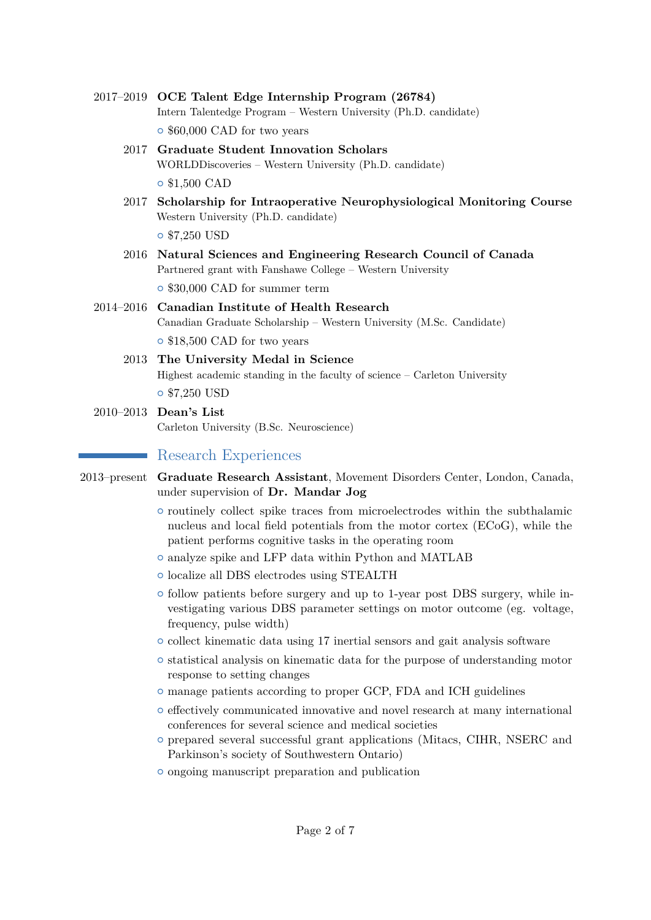- 2017–2019 **OCE Talent Edge Internship Program (26784)** Intern Talentedge Program – Western University (Ph.D. candidate)  $\circ$  \$60,000 CAD for two years
	- 2017 **Graduate Student Innovation Scholars** WORLDDiscoveries – Western University (Ph.D. candidate) { \$1,500 CAD
	- 2017 **Scholarship for Intraoperative Neurophysiological Monitoring Course** Western University (Ph.D. candidate)

{ \$7,250 USD

- 2016 **Natural Sciences and Engineering Research Council of Canada** Partnered grant with Fanshawe College – Western University  $\circ$  \$30,000 CAD for summer term
- 2014–2016 **Canadian Institute of Health Research** Canadian Graduate Scholarship – Western University (M.Sc. Candidate) { \$18,500 CAD for two years
	- 2013 **The University Medal in Science** Highest academic standing in the faculty of science – Carleton University { \$7,250 USD
- 2010–2013 **Dean's List** Carleton University (B.Sc. Neuroscience)

# Research Experiences

- 2013–present **Graduate Research Assistant**, Movement Disorders Center, London, Canada, under supervision of **Dr. Mandar Jog**
	- $\circ$  routinely collect spike traces from microelectrodes within the subthalamic nucleus and local field potentials from the motor cortex (ECoG), while the patient performs cognitive tasks in the operating room
	- $\circ$  analyze spike and LFP data within Python and MATLAB
	- { localize all DBS electrodes using STEALTH
	- $\circ$  follow patients before surgery and up to 1-year post DBS surgery, while investigating various DBS parameter settings on motor outcome (eg. voltage, frequency, pulse width)
	- { collect kinematic data using 17 inertial sensors and gait analysis software
	- $\circ$  statistical analysis on kinematic data for the purpose of understanding motor response to setting changes
	- $\circ$  manage patients according to proper GCP, FDA and ICH guidelines
	- $\circ$  effectively communicated innovative and novel research at many international conferences for several science and medical societies
	- { prepared several successful grant applications (Mitacs, CIHR, NSERC and Parkinson's society of Southwestern Ontario)
	- $\circ$  ongoing manuscript preparation and publication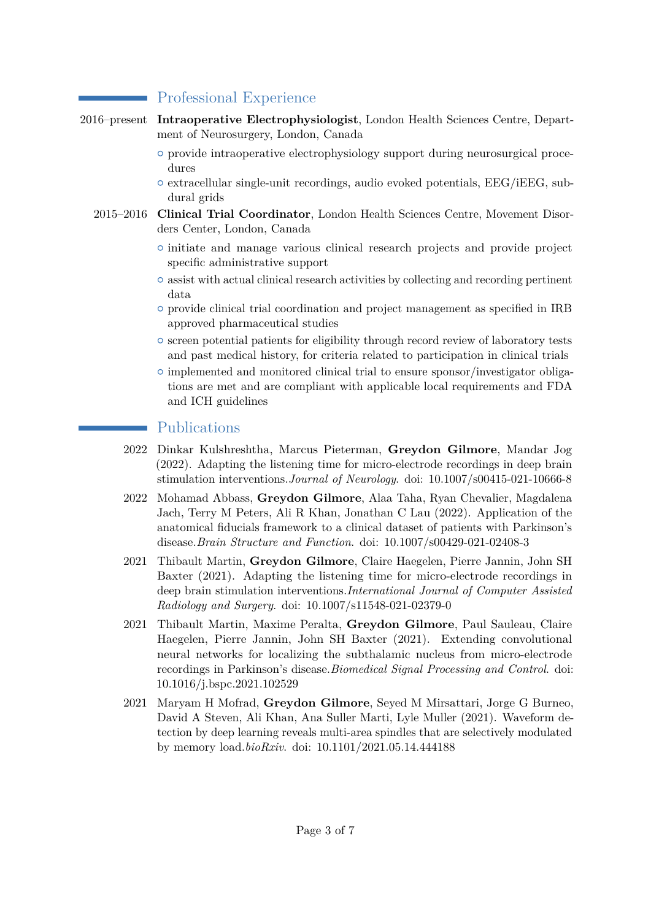# Professional Experience

- 2016–present **Intraoperative Electrophysiologist**, London Health Sciences Centre, Department of Neurosurgery, London, Canada
	- $\circ$  provide intraoperative electrophysiology support during neurosurgical procedures
	- $\circ$  extracellular single-unit recordings, audio evoked potentials, EEG/iEEG, subdural grids
	- 2015–2016 **Clinical Trial Coordinator**, London Health Sciences Centre, Movement Disorders Center, London, Canada
		- { initiate and manage various clinical research projects and provide project specific administrative support
		- $\circ$  assist with actual clinical research activities by collecting and recording pertinent data
		- { provide clinical trial coordination and project management as specified in IRB approved pharmaceutical studies
		- $\circ$  screen potential patients for eligibility through record review of laboratory tests and past medical history, for criteria related to participation in clinical trials
		- $\circ$  implemented and monitored clinical trial to ensure sponsor/investigator obligations are met and are compliant with applicable local requirements and FDA and ICH guidelines

## Publications

- 2022 Dinkar Kulshreshtha, Marcus Pieterman, **Greydon Gilmore**, Mandar Jog (2022). Adapting the listening time for micro-electrode recordings in deep brain stimulation interventions.*Journal of Neurology*. doi: 10.1007/s00415-021-10666-8
- 2022 Mohamad Abbass, **Greydon Gilmore**, Alaa Taha, Ryan Chevalier, Magdalena Jach, Terry M Peters, Ali R Khan, Jonathan C Lau (2022). Application of the anatomical fiducials framework to a clinical dataset of patients with Parkinson's disease.*Brain Structure and Function*. doi: 10.1007/s00429-021-02408-3
- 2021 Thibault Martin, **Greydon Gilmore**, Claire Haegelen, Pierre Jannin, John SH Baxter (2021). Adapting the listening time for micro-electrode recordings in deep brain stimulation interventions.*International Journal of Computer Assisted Radiology and Surgery*. doi: 10.1007/s11548-021-02379-0
- 2021 Thibault Martin, Maxime Peralta, **Greydon Gilmore**, Paul Sauleau, Claire Haegelen, Pierre Jannin, John SH Baxter (2021). Extending convolutional neural networks for localizing the subthalamic nucleus from micro-electrode recordings in Parkinson's disease.*Biomedical Signal Processing and Control*. doi: 10.1016/j.bspc.2021.102529
- 2021 Maryam H Mofrad, **Greydon Gilmore**, Seyed M Mirsattari, Jorge G Burneo, David A Steven, Ali Khan, Ana Suller Marti, Lyle Muller (2021). Waveform detection by deep learning reveals multi-area spindles that are selectively modulated by memory load.*bioRxiv*. doi: 10.1101/2021.05.14.444188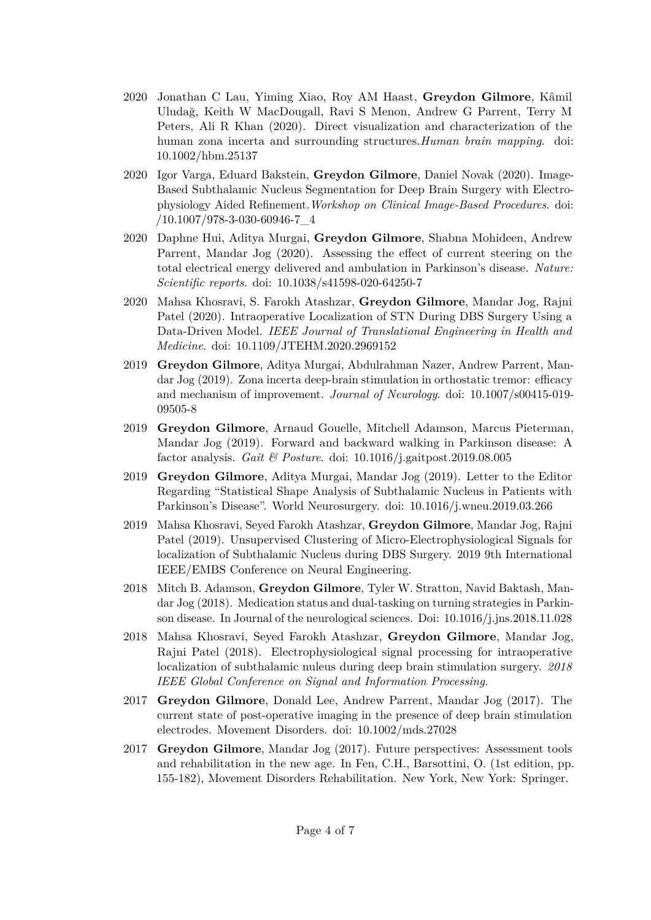- 2020 Jonathan C Lau, Yiming Xiao, Roy AM Haast, **Greydon Gilmore**, Kâmil Uludağ, Keith W MacDougall, Ravi S Menon, Andrew G Parrent, Terry M Peters, Ali R Khan (2020). Direct visualization and characterization of the human zona incerta and surrounding structures.*Human brain mapping*. doi: 10.1002/hbm.25137
- 2020 Igor Varga, Eduard Bakstein, **Greydon Gilmore**, Daniel Novak (2020). Image-Based Subthalamic Nucleus Segmentation for Deep Brain Surgery with Electrophysiology Aided Refinement.*Workshop on Clinical Image-Based Procedures*. doi: /10.1007/978-3-030-60946-7\_4
- 2020 Daphne Hui, Aditya Murgai, **Greydon Gilmore**, Shabna Mohideen, Andrew Parrent, Mandar Jog (2020). Assessing the effect of current steering on the total electrical energy delivered and ambulation in Parkinson's disease. *Nature: Scientific reports*. doi: 10.1038/s41598-020-64250-7
- 2020 Mahsa Khosravi, S. Farokh Atashzar, **Greydon Gilmore**, Mandar Jog, Rajni Patel (2020). Intraoperative Localization of STN During DBS Surgery Using a Data-Driven Model. *IEEE Journal of Translational Engineering in Health and Medicine*. doi: 10.1109/JTEHM.2020.2969152
- 2019 **Greydon Gilmore**, Aditya Murgai, Abdulrahman Nazer, Andrew Parrent, Mandar Jog (2019). Zona incerta deep-brain stimulation in orthostatic tremor: efficacy and mechanism of improvement. *Journal of Neurology*. doi: 10.1007/s00415-019- 09505-8
- 2019 **Greydon Gilmore**, Arnaud Gouelle, Mitchell Adamson, Marcus Pieterman, Mandar Jog (2019). Forward and backward walking in Parkinson disease: A factor analysis. *Gait & Posture*. doi: 10.1016/j.gaitpost.2019.08.005
- 2019 **Greydon Gilmore**, Aditya Murgai, Mandar Jog (2019). Letter to the Editor Regarding "Statistical Shape Analysis of Subthalamic Nucleus in Patients with Parkinson's Disease". World Neurosurgery. doi: 10.1016/j.wneu.2019.03.266
- 2019 Mahsa Khosravi, Seyed Farokh Atashzar, **Greydon Gilmore**, Mandar Jog, Rajni Patel (2019). Unsupervised Clustering of Micro-Electrophysiological Signals for localization of Subthalamic Nucleus during DBS Surgery. 2019 9th International IEEE/EMBS Conference on Neural Engineering.
- 2018 Mitch B. Adamson, **Greydon Gilmore**, Tyler W. Stratton, Navid Baktash, Mandar Jog (2018). Medication status and dual-tasking on turning strategies in Parkinson disease. In Journal of the neurological sciences. Doi: 10.1016/j.jns.2018.11.028
- 2018 Mahsa Khosravi, Seyed Farokh Atashzar, **Greydon Gilmore**, Mandar Jog, Rajni Patel (2018). Electrophysiological signal processing for intraoperative localization of subthalamic nuleus during deep brain stimulation surgery. *2018 IEEE Global Conference on Signal and Information Processing*.
- 2017 **Greydon Gilmore**, Donald Lee, Andrew Parrent, Mandar Jog (2017). The current state of post-operative imaging in the presence of deep brain stimulation electrodes. Movement Disorders. doi: 10.1002/mds.27028
- 2017 **Greydon Gilmore**, Mandar Jog (2017). Future perspectives: Assessment tools and rehabilitation in the new age. In Fen, C.H., Barsottini, O. (1st edition, pp. 155-182), Movement Disorders Rehabilitation. New York, New York: Springer.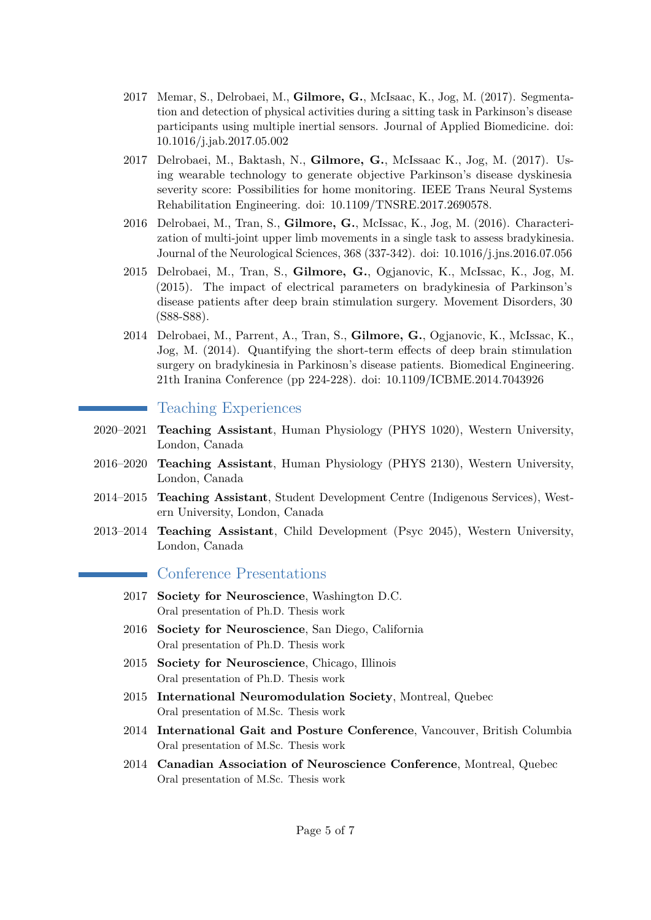- 2017 Memar, S., Delrobaei, M., **Gilmore, G.**, McIsaac, K., Jog, M. (2017). Segmentation and detection of physical activities during a sitting task in Parkinson's disease participants using multiple inertial sensors. Journal of Applied Biomedicine. doi: 10.1016/j.jab.2017.05.002
- 2017 Delrobaei, M., Baktash, N., **Gilmore, G.**, McIssaac K., Jog, M. (2017). Using wearable technology to generate objective Parkinson's disease dyskinesia severity score: Possibilities for home monitoring. IEEE Trans Neural Systems Rehabilitation Engineering. doi: 10.1109/TNSRE.2017.2690578.
- 2016 Delrobaei, M., Tran, S., **Gilmore, G.**, McIssac, K., Jog, M. (2016). Characterization of multi-joint upper limb movements in a single task to assess bradykinesia. Journal of the Neurological Sciences, 368 (337-342). doi: 10.1016/j.jns.2016.07.056
- 2015 Delrobaei, M., Tran, S., **Gilmore, G.**, Ogjanovic, K., McIssac, K., Jog, M. (2015). The impact of electrical parameters on bradykinesia of Parkinson's disease patients after deep brain stimulation surgery. Movement Disorders, 30 (S88-S88).
- 2014 Delrobaei, M., Parrent, A., Tran, S., **Gilmore, G.**, Ogjanovic, K., McIssac, K., Jog, M. (2014). Quantifying the short-term effects of deep brain stimulation surgery on bradykinesia in Parkinosn's disease patients. Biomedical Engineering. 21th Iranina Conference (pp 224-228). doi: 10.1109/ICBME.2014.7043926

#### Teaching Experiences

- 2020–2021 **Teaching Assistant**, Human Physiology (PHYS 1020), Western University, London, Canada
- 2016–2020 **Teaching Assistant**, Human Physiology (PHYS 2130), Western University, London, Canada
- 2014–2015 **Teaching Assistant**, Student Development Centre (Indigenous Services), Western University, London, Canada
- 2013–2014 **Teaching Assistant**, Child Development (Psyc 2045), Western University, London, Canada

#### Conference Presentations

- 2017 **Society for Neuroscience**, Washington D.C. Oral presentation of Ph.D. Thesis work
- 2016 **Society for Neuroscience**, San Diego, California Oral presentation of Ph.D. Thesis work
- 2015 **Society for Neuroscience**, Chicago, Illinois Oral presentation of Ph.D. Thesis work
- 2015 **International Neuromodulation Society**, Montreal, Quebec Oral presentation of M.Sc. Thesis work
- 2014 **International Gait and Posture Conference**, Vancouver, British Columbia Oral presentation of M.Sc. Thesis work
- 2014 **Canadian Association of Neuroscience Conference**, Montreal, Quebec Oral presentation of M.Sc. Thesis work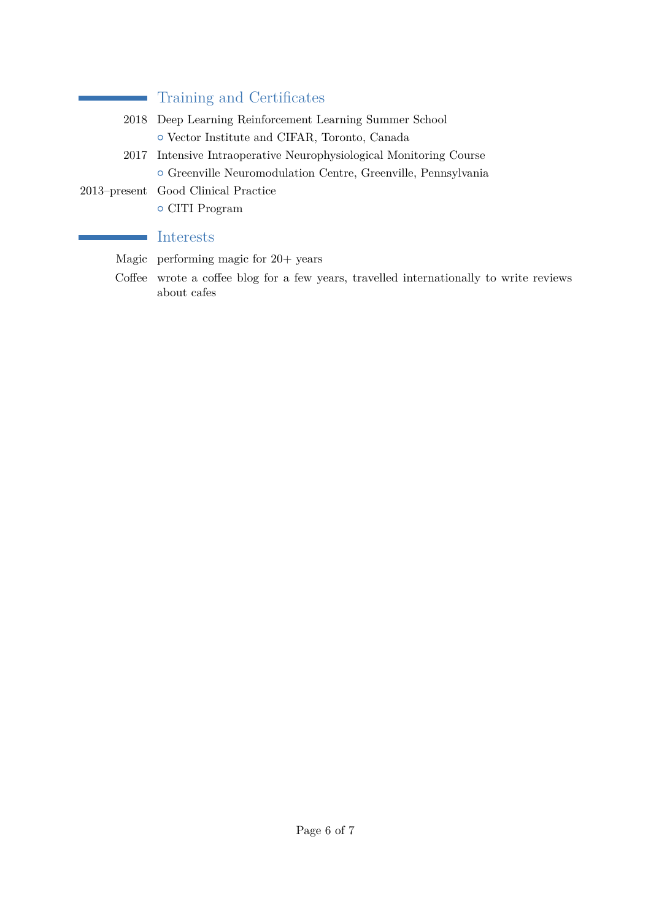# Training and Certificates

- 2018 Deep Learning Reinforcement Learning Summer School { Vector Institute and CIFAR, Toronto, Canada
- 2017 Intensive Intraoperative Neurophysiological Monitoring Course { Greenville Neuromodulation Centre, Greenville, Pennsylvania
- 2013–present Good Clinical Practice

÷,

÷

{ CITI Program

## Interests

Magic performing magic for 20+ years

Coffee wrote a coffee blog for a few years, travelled internationally to write reviews about cafes